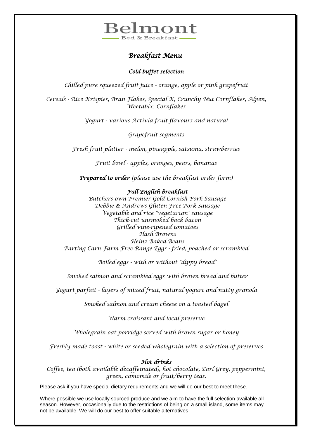

## *Breakfast Menu*

### *Cold buffet selection*

*Chilled pure squeezed fruit juice - orange, apple or pink grapefruit*

*Cereals - Rice Krispies, Bran Flakes, Special K, Crunchy Nut Cornflakes, Alpen, Weetabix, Cornflakes*

*Yogurt - various Activia fruit flavours and natural*

*Grapefruit segments*

*Fresh fruit platter - melon, pineapple, satsuma, strawberries*

*Fruit bowl - apples, oranges, pears, bananas*

*Prepared to order (please use the breakfast order form)* 

#### *Full English breakfast*

*Butchers own Premier Gold Cornish Pork Sausage Debbie & Andrews Gluten Free Pork Sausage Vegetable and rice "vegetarian" sausage Thick-cut unsmoked back bacon Grilled vine-ripened tomatoes Hash Browns Heinz Baked Beans Parting Carn Farm Free Range Eggs - fried, poached or scrambled*

*Boiled eggs - with or without "dippy bread"*

*Smoked salmon and scrambled eggs with brown bread and butter*

*Yogurt parfait - layers of mixed fruit, natural yogurt and nutty granola*

*Smoked salmon and cream cheese on a toasted bagel*

*Warm croissant and local preserve*

*Wholegrain oat porridge served with brown sugar or honey*

*Freshly made toast - white or seeded wholegrain with a selection of preserves* 

#### *Hot drinks*

*Coffee, tea (both available decaffeinated), hot chocolate, Earl Grey, peppermint, green, camomile or fruit/berry teas.*

Please ask if you have special dietary requirements and we will do our best to meet these.

Where possible we use locally sourced produce and we aim to have the full selection available all season. However, occasionally due to the restrictions of being on a small island, some items may not be available. We will do our best to offer suitable alternatives.